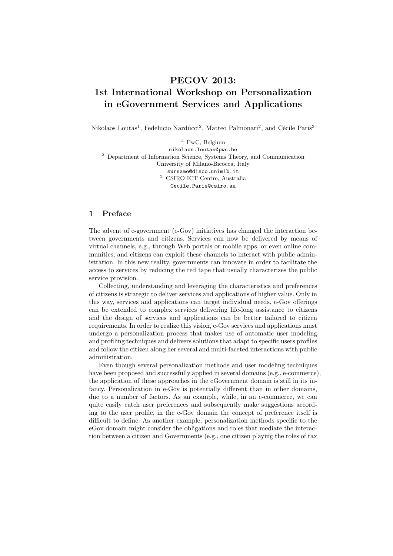# PEGOV 2013: 1st International Workshop on Personalization in eGovernment Services and Applications

Nikolaos Loutas<sup>1</sup>, Fedelucio Narducci<sup>2</sup>, Matteo Palmonari<sup>2</sup>, and Cécile Paris<sup>3</sup>

 $1$  PwC, Belgium nikolaos.loutas@pwc.be  $^{\rm 2}$  Department of Information Science, Systems Theory, and Communication University of Milano-Bicocca, Italy surname@disco.unimib.it <sup>3</sup> CSIRO ICT Centre, Australia Cecile.Paris@csiro.au

# 1 Preface

The advent of e-government (e-Gov) initiatives has changed the interaction between governments and citizens. Services can now be delivered by means of virtual channels, e.g., through Web portals or mobile apps, or even online communities, and citizens can exploit these channels to interact with public administration. In this new reality, governments can innovate in order to facilitate the access to services by reducing the red tape that usually characterizes the public service provision.

Collecting, understanding and leveraging the characteristics and preferences of citizens is strategic to deliver services and applications of higher value. Only in this way, services and applications can target individual needs, e-Gov offerings can be extended to complex services delivering life-long assistance to citizens and the design of services and applications can be better tailored to citizen requirements. In order to realize this vision, e-Gov services and applications must undergo a personalization process that makes use of automatic user modeling and profiling techniques and delivers solutions that adapt to specific users profiles and follow the citizen along her several and multi-faceted interactions with public administration.

Even though several personalization methods and user modeling techniques have been proposed and successfully applied in several domains (e.g., e-commerce), the application of these approaches in the eGovernment domain is still in its infancy. Personalization in e-Gov is potentially different than in other domains, due to a number of factors. As an example, while, in an e-commerce, we can quite easily catch user preferences and subsequently make suggestions according to the user profile, in the e-Gov domain the concept of preference itself is difficult to define. As another example, personalization methods specific to the eGov domain might consider the obligations and roles that mediate the interaction between a citizen and Governments (e.g., one citizen playing the roles of tax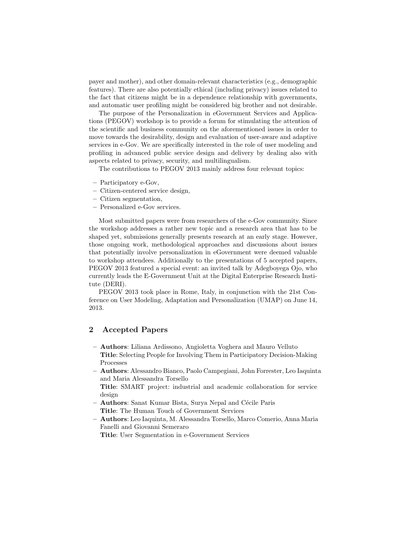payer and mother), and other domain-relevant characteristics (e.g., demographic features). There are also potentially ethical (including privacy) issues related to the fact that citizens might be in a dependence relationship with governments, and automatic user profiling might be considered big brother and not desirable.

The purpose of the Personalization in eGovernment Services and Applications (PEGOV) workshop is to provide a forum for stimulating the attention of the scientific and business community on the aforementioned issues in order to move towards the desirability, design and evaluation of user-aware and adaptive services in e-Gov. We are specifically interested in the role of user modeling and profiling in advanced public service design and delivery by dealing also with aspects related to privacy, security, and multilingualism.

The contributions to PEGOV 2013 mainly address four relevant topics:

- Participatory e-Gov,
- Citizen-centered service design,
- Citizen segmentation,
- Personalized e-Gov services.

Most submitted papers were from researchers of the e-Gov community. Since the workshop addresses a rather new topic and a research area that has to be shaped yet, submissions generally presents research at an early stage. However, those ongoing work, methodological approaches and discussions about issues that potentially involve personalization in eGovernment were deemed valuable to workshop attendees. Additionally to the presentations of 5 accepted papers, PEGOV 2013 featured a special event: an invited talk by Adegboyega Ojo, who currently leads the E-Government Unit at the Digital Enterprise Research Institute (DERI).

PEGOV 2013 took place in Rome, Italy, in conjunction with the 21st Conference on User Modeling, Adaptation and Personalization (UMAP) on June 14, 2013.

### 2 Accepted Papers

- Authors: Liliana Ardissono, Angioletta Voghera and Mauro Velluto Title: Selecting People for Involving Them in Participatory Decision-Making Processes
- Authors: Alessandro Bianco, Paolo Campegiani, John Forrester, Leo Iaquinta and Maria Alessandra Torsello

Title: SMART project: industrial and academic collaboration for service design

- Authors: Sanat Kumar Bista, Surya Nepal and Cécile Paris Title: The Human Touch of Government Services
- Authors: Leo Iaquinta, M. Alessandra Torsello, Marco Comerio, Anna Maria Fanelli and Giovanni Semeraro

Title: User Segmentation in e-Government Services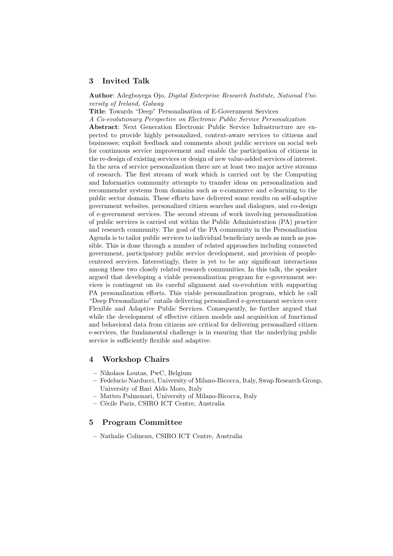## 3 Invited Talk

Author: Adegboyega Ojo, Digital Enterprise Research Institute, National University of Ireland, Galway

Title: Towards "Deep" Personalisation of E-Government Services

A Co-evolutionary Perspective on Electronic Public Service Personalization

Abstract: Next Generation Electronic Public Service Infrastructure are expected to provide highly personalized, context-aware services to citizens and businesses; exploit feedback and comments about public services on social web for continuous service improvement and enable the participation of citizens in the re-design of existing services or design of new value-added services of interest. In the area of service personalization there are at least two major active streams of research. The first stream of work which is carried out by the Computing and Informatics community attempts to transfer ideas on personalization and recommender systems from domains such as e-commerce and e-learning to the public sector domain. These efforts have delivered some results on self-adaptive government websites, personalized citizen searches and dialogues, and co-design of e-government services. The second stream of work involving personalization of public services is carried out within the Public Administration (PA) practice and research community. The goal of the PA community in the Personalization Agenda is to tailor public services to individual beneficiary needs as much as possible. This is done through a number of related approaches including connected government, participatory public service development, and provision of peoplecentered services. Interestingly, there is yet to be any significant interactions among these two closely related research communities. In this talk, the speaker argued that developing a viable personalization program for e-government services is contingent on its careful alignment and co-evolution with supporting PA personalization efforts. This viable personalization program, which he call "Deep Personalizatio" entails delivering personalized e-government services over Flexible and Adaptive Public Services. Consequently, he further argued that while the development of effective citizen models and acquisition of functional and behavioral data from citizens are critical for delivering personalized citizen e-services, the fundamental challenge is in ensuring that the underlying public service is sufficiently flexible and adaptive.

### 4 Workshop Chairs

- Nikolaos Loutas, PwC, Belgium
- Fedelucio Narducci, University of Milano-Bicocca, Italy, Swap Research Group, University of Bari Aldo Moro, Italy
- Matteo Palmonari, University of Milano-Bicocca, Italy
- C´ecile Paris, CSIRO ICT Centre, Australia

### 5 Program Committee

– Nathalie Colineau, CSIRO ICT Centre, Australia